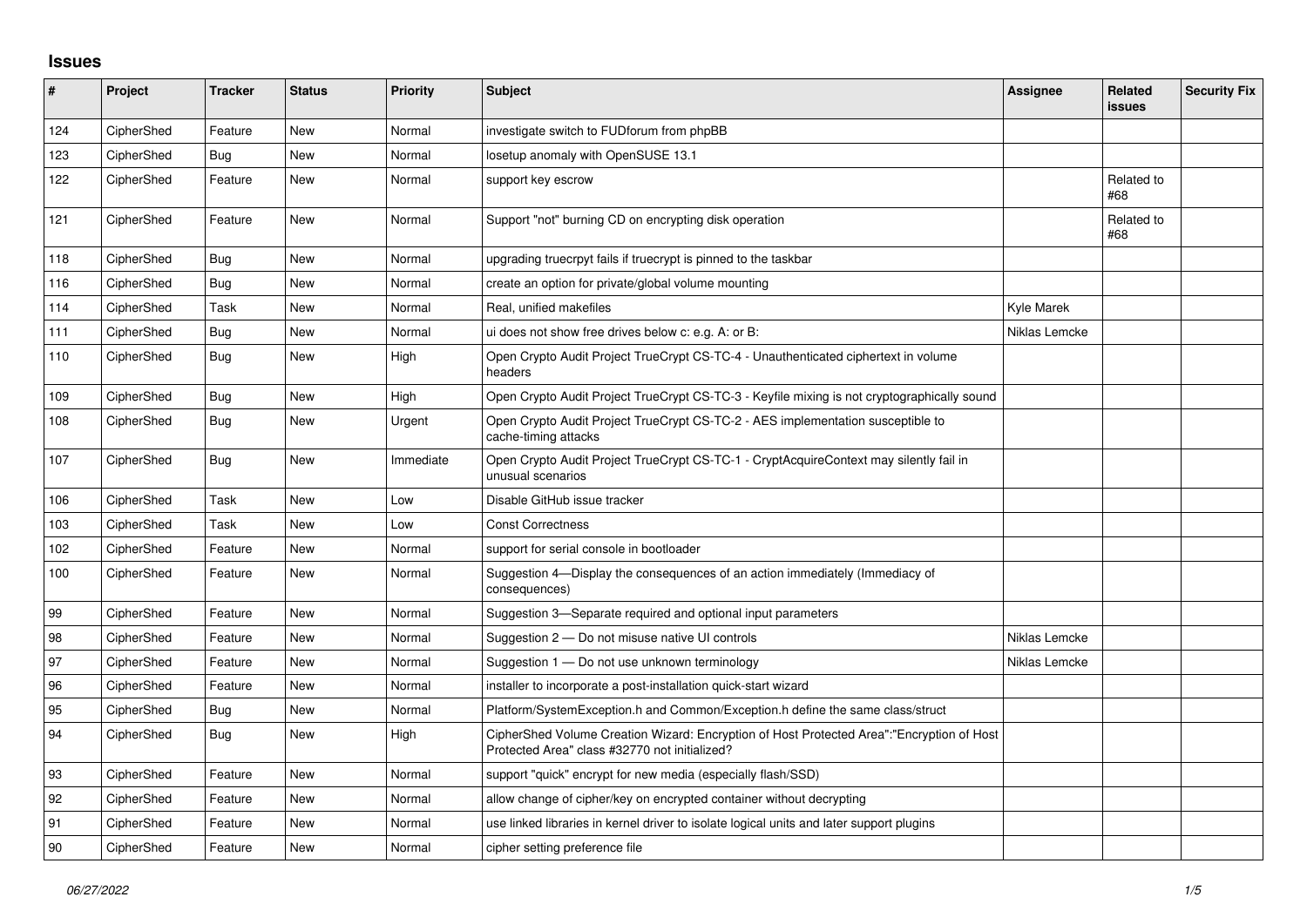## **Issues**

| #   | Project    | <b>Tracker</b> | <b>Status</b> | <b>Priority</b> | <b>Subject</b>                                                                                                                             | Assignee      | Related<br>issues | <b>Security Fix</b> |
|-----|------------|----------------|---------------|-----------------|--------------------------------------------------------------------------------------------------------------------------------------------|---------------|-------------------|---------------------|
| 124 | CipherShed | Feature        | <b>New</b>    | Normal          | investigate switch to FUDforum from phpBB                                                                                                  |               |                   |                     |
| 123 | CipherShed | Bug            | <b>New</b>    | Normal          | losetup anomaly with OpenSUSE 13.1                                                                                                         |               |                   |                     |
| 122 | CipherShed | Feature        | <b>New</b>    | Normal          | support key escrow                                                                                                                         |               | Related to<br>#68 |                     |
| 121 | CipherShed | Feature        | <b>New</b>    | Normal          | Support "not" burning CD on encrypting disk operation                                                                                      |               | Related to<br>#68 |                     |
| 118 | CipherShed | Bug            | <b>New</b>    | Normal          | upgrading truecrpyt fails if truecrypt is pinned to the taskbar                                                                            |               |                   |                     |
| 116 | CipherShed | Bug            | <b>New</b>    | Normal          | create an option for private/global volume mounting                                                                                        |               |                   |                     |
| 114 | CipherShed | Task           | <b>New</b>    | Normal          | Real, unified makefiles                                                                                                                    | Kyle Marek    |                   |                     |
| 111 | CipherShed | <b>Bug</b>     | <b>New</b>    | Normal          | ui does not show free drives below c: e.g. A: or B:                                                                                        | Niklas Lemcke |                   |                     |
| 110 | CipherShed | Bug            | <b>New</b>    | High            | Open Crypto Audit Project TrueCrypt CS-TC-4 - Unauthenticated ciphertext in volume<br>headers                                              |               |                   |                     |
| 109 | CipherShed | <b>Bug</b>     | New           | High            | Open Crypto Audit Project TrueCrypt CS-TC-3 - Keyfile mixing is not cryptographically sound                                                |               |                   |                     |
| 108 | CipherShed | Bug            | <b>New</b>    | Urgent          | Open Crypto Audit Project TrueCrypt CS-TC-2 - AES implementation susceptible to<br>cache-timing attacks                                    |               |                   |                     |
| 107 | CipherShed | <b>Bug</b>     | <b>New</b>    | Immediate       | Open Crypto Audit Project TrueCrypt CS-TC-1 - CryptAcquireContext may silently fail in<br>unusual scenarios                                |               |                   |                     |
| 106 | CipherShed | Task           | New           | Low             | Disable GitHub issue tracker                                                                                                               |               |                   |                     |
| 103 | CipherShed | Task           | <b>New</b>    | Low             | <b>Const Correctness</b>                                                                                                                   |               |                   |                     |
| 102 | CipherShed | Feature        | New           | Normal          | support for serial console in bootloader                                                                                                   |               |                   |                     |
| 100 | CipherShed | Feature        | New           | Normal          | Suggestion 4—Display the consequences of an action immediately (Immediacy of<br>consequences)                                              |               |                   |                     |
| 99  | CipherShed | Feature        | <b>New</b>    | Normal          | Suggestion 3—Separate required and optional input parameters                                                                               |               |                   |                     |
| 98  | CipherShed | Feature        | <b>New</b>    | Normal          | Suggestion 2 – Do not misuse native UI controls                                                                                            | Niklas Lemcke |                   |                     |
| 97  | CipherShed | Feature        | New           | Normal          | Suggestion 1 - Do not use unknown terminology                                                                                              | Niklas Lemcke |                   |                     |
| 96  | CipherShed | Feature        | New           | Normal          | installer to incorporate a post-installation quick-start wizard                                                                            |               |                   |                     |
| 95  | CipherShed | Bug            | <b>New</b>    | Normal          | Platform/SystemException.h and Common/Exception.h define the same class/struct                                                             |               |                   |                     |
| 94  | CipherShed | Bug            | <b>New</b>    | High            | CipherShed Volume Creation Wizard: Encryption of Host Protected Area":"Encryption of Host<br>Protected Area" class #32770 not initialized? |               |                   |                     |
| 93  | CipherShed | Feature        | New           | Normal          | support "quick" encrypt for new media (especially flash/SSD)                                                                               |               |                   |                     |
| 92  | CipherShed | Feature        | New           | Normal          | allow change of cipher/key on encrypted container without decrypting                                                                       |               |                   |                     |
| 91  | CipherShed | Feature        | <b>New</b>    | Normal          | use linked libraries in kernel driver to isolate logical units and later support plugins                                                   |               |                   |                     |
| 90  | CipherShed | Feature        | <b>New</b>    | Normal          | cipher setting preference file                                                                                                             |               |                   |                     |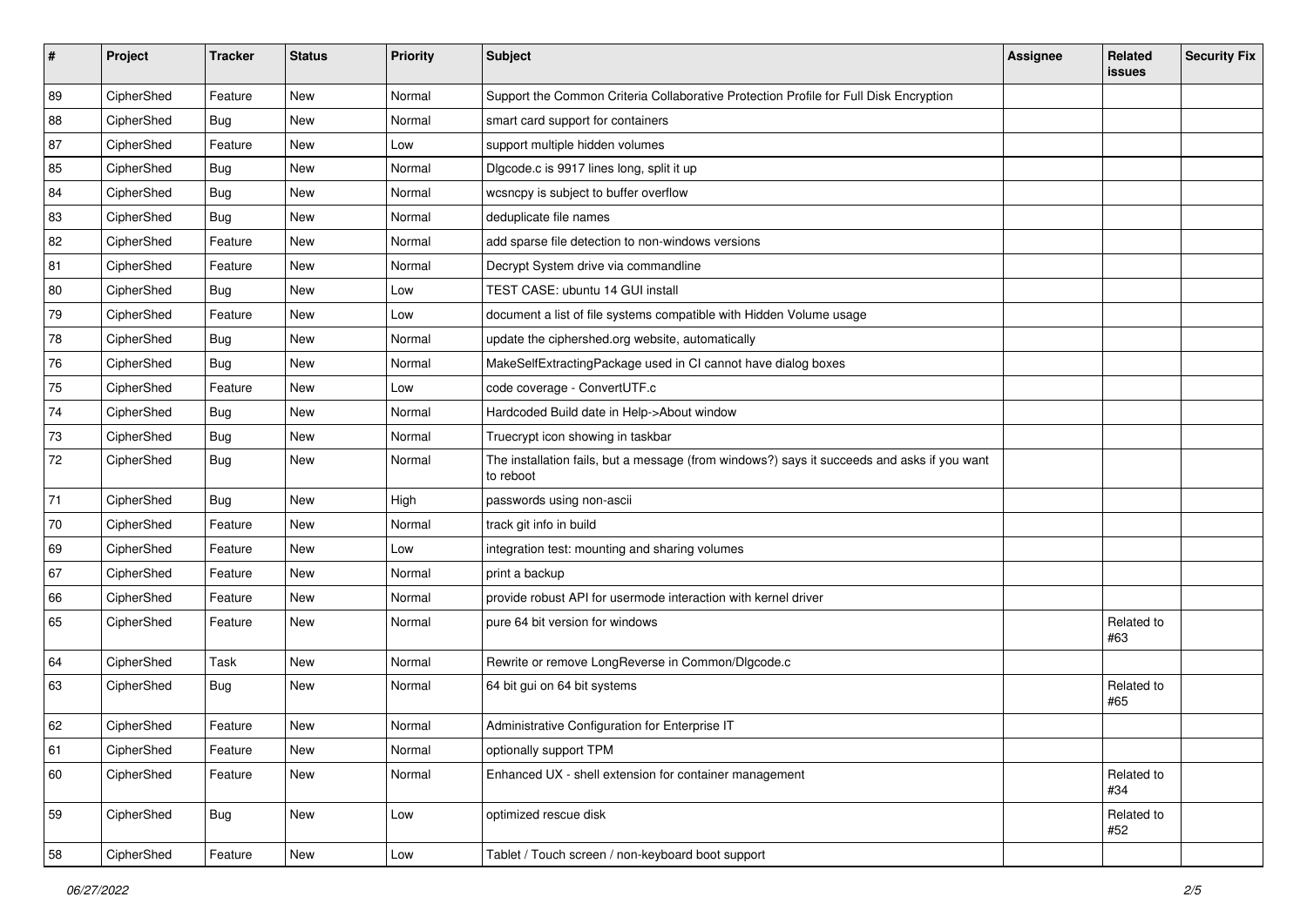| #  | Project    | <b>Tracker</b> | <b>Status</b> | Priority | <b>Subject</b>                                                                                           | Assignee | Related<br>issues   | <b>Security Fix</b> |
|----|------------|----------------|---------------|----------|----------------------------------------------------------------------------------------------------------|----------|---------------------|---------------------|
| 89 | CipherShed | Feature        | New           | Normal   | Support the Common Criteria Collaborative Protection Profile for Full Disk Encryption                    |          |                     |                     |
| 88 | CipherShed | <b>Bug</b>     | <b>New</b>    | Normal   | smart card support for containers                                                                        |          |                     |                     |
| 87 | CipherShed | Feature        | New           | Low      | support multiple hidden volumes                                                                          |          |                     |                     |
| 85 | CipherShed | <b>Bug</b>     | New           | Normal   | Digcode.c is 9917 lines long, split it up                                                                |          |                     |                     |
| 84 | CipherShed | <b>Bug</b>     | <b>New</b>    | Normal   | wcsncpy is subject to buffer overflow                                                                    |          |                     |                     |
| 83 | CipherShed | <b>Bug</b>     | New           | Normal   | deduplicate file names                                                                                   |          |                     |                     |
| 82 | CipherShed | Feature        | <b>New</b>    | Normal   | add sparse file detection to non-windows versions                                                        |          |                     |                     |
| 81 | CipherShed | Feature        | New           | Normal   | Decrypt System drive via commandline                                                                     |          |                     |                     |
| 80 | CipherShed | <b>Bug</b>     | New           | Low      | TEST CASE: ubuntu 14 GUI install                                                                         |          |                     |                     |
| 79 | CipherShed | Feature        | <b>New</b>    | Low      | document a list of file systems compatible with Hidden Volume usage                                      |          |                     |                     |
| 78 | CipherShed | <b>Bug</b>     | <b>New</b>    | Normal   | update the ciphershed.org website, automatically                                                         |          |                     |                     |
| 76 | CipherShed | Bug            | <b>New</b>    | Normal   | MakeSelfExtractingPackage used in CI cannot have dialog boxes                                            |          |                     |                     |
| 75 | CipherShed | Feature        | <b>New</b>    | Low      | code coverage - ConvertUTF.c                                                                             |          |                     |                     |
| 74 | CipherShed | <b>Bug</b>     | New           | Normal   | Hardcoded Build date in Help->About window                                                               |          |                     |                     |
| 73 | CipherShed | <b>Bug</b>     | <b>New</b>    | Normal   | Truecrypt icon showing in taskbar                                                                        |          |                     |                     |
| 72 | CipherShed | <b>Bug</b>     | New           | Normal   | The installation fails, but a message (from windows?) says it succeeds and asks if you want<br>to reboot |          |                     |                     |
| 71 | CipherShed | Bug            | New           | High     | passwords using non-ascii                                                                                |          |                     |                     |
| 70 | CipherShed | Feature        | <b>New</b>    | Normal   | track git info in build                                                                                  |          |                     |                     |
| 69 | CipherShed | Feature        | New           | Low      | integration test: mounting and sharing volumes                                                           |          |                     |                     |
| 67 | CipherShed | Feature        | New           | Normal   | print a backup                                                                                           |          |                     |                     |
| 66 | CipherShed | Feature        | New           | Normal   | provide robust API for usermode interaction with kernel driver                                           |          |                     |                     |
| 65 | CipherShed | Feature        | New           | Normal   | pure 64 bit version for windows                                                                          |          | Related to<br>#63   |                     |
| 64 | CipherShed | Task           | New           | Normal   | Rewrite or remove LongReverse in Common/Dlgcode.c                                                        |          |                     |                     |
| 63 | CipherShed | <b>Bug</b>     | New           | Normal   | 64 bit gui on 64 bit systems                                                                             |          | Related to<br>#65   |                     |
| 62 | CipherShed | Feature        | <b>New</b>    | Normal   | Administrative Configuration for Enterprise IT                                                           |          |                     |                     |
| 61 | CipherShed | Feature        | New           | Normal   | optionally support TPM                                                                                   |          |                     |                     |
| 60 | CipherShed | Feature        | New           | Normal   | Enhanced UX - shell extension for container management                                                   |          | Related to<br>  #34 |                     |
| 59 | CipherShed | <b>Bug</b>     | New           | Low      | optimized rescue disk                                                                                    |          | Related to<br>#52   |                     |
| 58 | CipherShed | Feature        | New           | Low      | Tablet / Touch screen / non-keyboard boot support                                                        |          |                     |                     |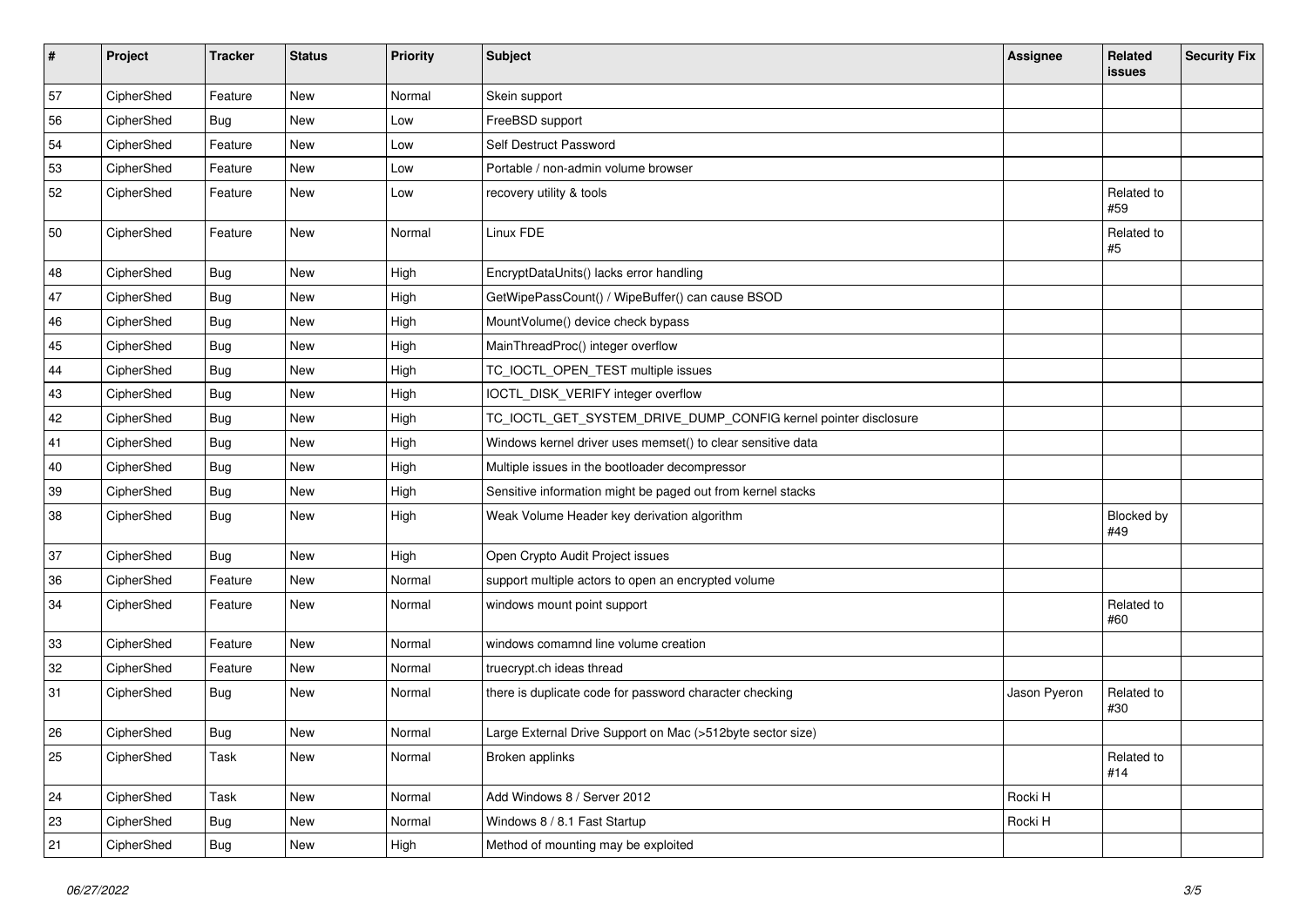| $\vert$ # | Project    | <b>Tracker</b> | <b>Status</b> | Priority | Subject                                                         | <b>Assignee</b> | Related<br><b>issues</b> | <b>Security Fix</b> |
|-----------|------------|----------------|---------------|----------|-----------------------------------------------------------------|-----------------|--------------------------|---------------------|
| 57        | CipherShed | Feature        | New           | Normal   | Skein support                                                   |                 |                          |                     |
| 56        | CipherShed | <b>Bug</b>     | New           | Low      | FreeBSD support                                                 |                 |                          |                     |
| 54        | CipherShed | Feature        | New           | Low      | Self Destruct Password                                          |                 |                          |                     |
| 53        | CipherShed | Feature        | New           | Low      | Portable / non-admin volume browser                             |                 |                          |                     |
| 52        | CipherShed | Feature        | New           | Low      | recovery utility & tools                                        |                 | Related to<br>#59        |                     |
| 50        | CipherShed | Feature        | New           | Normal   | Linux FDE                                                       |                 | Related to<br>$\#5$      |                     |
| 48        | CipherShed | Bug            | New           | High     | EncryptDataUnits() lacks error handling                         |                 |                          |                     |
| 47        | CipherShed | <b>Bug</b>     | New           | High     | GetWipePassCount() / WipeBuffer() can cause BSOD                |                 |                          |                     |
| 46        | CipherShed | <b>Bug</b>     | New           | High     | MountVolume() device check bypass                               |                 |                          |                     |
| 45        | CipherShed | <b>Bug</b>     | New           | High     | MainThreadProc() integer overflow                               |                 |                          |                     |
| 44        | CipherShed | <b>Bug</b>     | New           | High     | TC_IOCTL_OPEN_TEST multiple issues                              |                 |                          |                     |
| 43        | CipherShed | <b>Bug</b>     | New           | High     | IOCTL_DISK_VERIFY integer overflow                              |                 |                          |                     |
| 42        | CipherShed | <b>Bug</b>     | New           | High     | TC_IOCTL_GET_SYSTEM_DRIVE_DUMP_CONFIG kernel pointer disclosure |                 |                          |                     |
| 41        | CipherShed | Bug            | New           | High     | Windows kernel driver uses memset() to clear sensitive data     |                 |                          |                     |
| 40        | CipherShed | <b>Bug</b>     | New           | High     | Multiple issues in the bootloader decompressor                  |                 |                          |                     |
| 39        | CipherShed | <b>Bug</b>     | New           | High     | Sensitive information might be paged out from kernel stacks     |                 |                          |                     |
| 38        | CipherShed | <b>Bug</b>     | New           | High     | Weak Volume Header key derivation algorithm                     |                 | Blocked by<br>#49        |                     |
| 37        | CipherShed | <b>Bug</b>     | New           | High     | Open Crypto Audit Project issues                                |                 |                          |                     |
| 36        | CipherShed | Feature        | New           | Normal   | support multiple actors to open an encrypted volume             |                 |                          |                     |
| 34        | CipherShed | Feature        | New           | Normal   | windows mount point support                                     |                 | Related to<br>#60        |                     |
| 33        | CipherShed | Feature        | New           | Normal   | windows comamnd line volume creation                            |                 |                          |                     |
| 32        | CipherShed | Feature        | New           | Normal   | truecrypt.ch ideas thread                                       |                 |                          |                     |
| 31        | CipherShed | <b>Bug</b>     | New           | Normal   | there is duplicate code for password character checking         | Jason Pyeron    | Related to<br>#30        |                     |
| 26        | CipherShed | Bug            | <b>New</b>    | Normal   | Large External Drive Support on Mac (>512byte sector size)      |                 |                          |                     |
| 25        | CipherShed | Task           | New           | Normal   | Broken applinks                                                 |                 | Related to<br>#14        |                     |
| 24        | CipherShed | Task           | New           | Normal   | Add Windows 8 / Server 2012                                     | Rocki H         |                          |                     |
| 23        | CipherShed | <b>Bug</b>     | New           | Normal   | Windows 8 / 8.1 Fast Startup                                    | Rocki H         |                          |                     |
| 21        | CipherShed | <b>Bug</b>     | New           | High     | Method of mounting may be exploited                             |                 |                          |                     |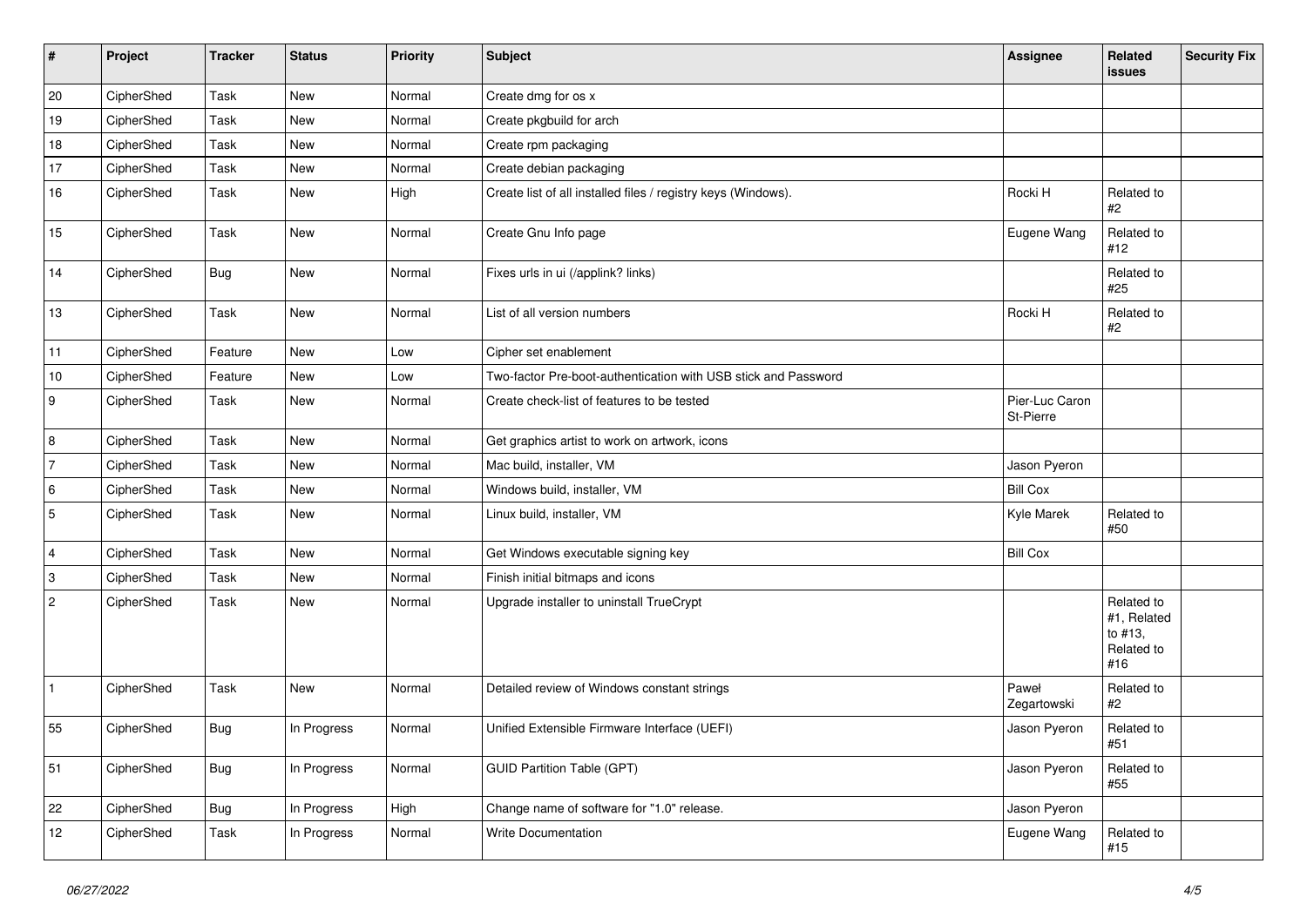| $\vert$ #        | Project    | <b>Tracker</b> | <b>Status</b> | Priority | Subject                                                        | Assignee                    | <b>Related</b><br><b>issues</b>                           | <b>Security Fix</b> |
|------------------|------------|----------------|---------------|----------|----------------------------------------------------------------|-----------------------------|-----------------------------------------------------------|---------------------|
| 20               | CipherShed | <b>Task</b>    | New           | Normal   | Create dmg for os x                                            |                             |                                                           |                     |
| 19               | CipherShed | Task           | New           | Normal   | Create pkgbuild for arch                                       |                             |                                                           |                     |
| 18               | CipherShed | Task           | New           | Normal   | Create rpm packaging                                           |                             |                                                           |                     |
| 17               | CipherShed | Task           | New           | Normal   | Create debian packaging                                        |                             |                                                           |                     |
| 16               | CipherShed | Task           | New           | High     | Create list of all installed files / registry keys (Windows).  | Rocki H                     | Related to<br>#2                                          |                     |
| 15               | CipherShed | Task           | New           | Normal   | Create Gnu Info page                                           | Eugene Wang                 | Related to<br>#12                                         |                     |
| 14               | CipherShed | Bug            | New           | Normal   | Fixes urls in ui (/applink? links)                             |                             | Related to<br>#25                                         |                     |
| 13               | CipherShed | <b>Task</b>    | New           | Normal   | List of all version numbers                                    | Rocki H                     | Related to<br>#2                                          |                     |
| 11               | CipherShed | Feature        | New           | Low      | Cipher set enablement                                          |                             |                                                           |                     |
| $10$             | CipherShed | Feature        | New           | Low      | Two-factor Pre-boot-authentication with USB stick and Password |                             |                                                           |                     |
| $\boldsymbol{9}$ | CipherShed | Task           | New           | Normal   | Create check-list of features to be tested                     | Pier-Luc Caron<br>St-Pierre |                                                           |                     |
| 8                | CipherShed | <b>Task</b>    | New           | Normal   | Get graphics artist to work on artwork, icons                  |                             |                                                           |                     |
| $\overline{7}$   | CipherShed | Task           | New           | Normal   | Mac build, installer, VM                                       | Jason Pyeron                |                                                           |                     |
| 6                | CipherShed | Task           | New           | Normal   | Windows build, installer, VM                                   | <b>Bill Cox</b>             |                                                           |                     |
| 5                | CipherShed | Task           | New           | Normal   | Linux build, installer, VM                                     | Kyle Marek                  | Related to<br>#50                                         |                     |
| $\overline{4}$   | CipherShed | Task           | New           | Normal   | Get Windows executable signing key                             | <b>Bill Cox</b>             |                                                           |                     |
| 3                | CipherShed | Task           | New           | Normal   | Finish initial bitmaps and icons                               |                             |                                                           |                     |
| $\overline{2}$   | CipherShed | Task           | New           | Normal   | Upgrade installer to uninstall TrueCrypt                       |                             | Related to<br>#1, Related<br>to #13,<br>Related to<br>#16 |                     |
| $\vert$ 1        | CipherShed | Task           | New           | Normal   | Detailed review of Windows constant strings                    | Paweł<br>Zegartowski        | Related to<br>#2                                          |                     |
| 55               | CipherShed | Bug            | In Progress   | Normal   | Unified Extensible Firmware Interface (UEFI)                   | Jason Pyeron                | Related to<br>#51                                         |                     |
| 51               | CipherShed | Bug            | In Progress   | Normal   | <b>GUID Partition Table (GPT)</b>                              | Jason Pyeron                | Related to<br>#55                                         |                     |
| 22               | CipherShed | <b>Bug</b>     | In Progress   | High     | Change name of software for "1.0" release.                     | Jason Pyeron                |                                                           |                     |
| 12               | CipherShed | Task           | In Progress   | Normal   | Write Documentation                                            | Eugene Wang                 | Related to<br>#15                                         |                     |